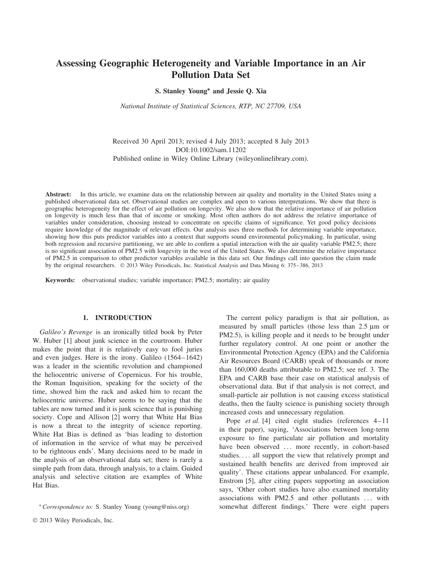# **Assessing Geographic Heterogeneity and Variable Importance in an Air Pollution Data Set**

**S. Stanley Young∗ and Jessie Q. Xia**

*National Institute of Statistical Sciences, RTP, NC 27709, USA*

Received 30 April 2013; revised 4 July 2013; accepted 8 July 2013 DOI:10.1002/sam.11202 Published online in Wiley Online Library (wileyonlinelibrary.com).

**Abstract:** In this article, we examine data on the relationship between air quality and mortality in the United States using a published observational data set. Observational studies are complex and open to various interpretations. We show that there is geographic heterogeneity for the effect of air pollution on longevity. We also show that the relative importance of air pollution on longevity is much less than that of income or smoking. Most often authors do not address the relative importance of variables under consideration, choosing instead to concentrate on specific claims of significance. Yet good policy decisions require knowledge of the magnitude of relevant effects. Our analysis uses three methods for determining variable importance, showing how this puts predictor variables into a context that supports sound environmental policymaking. In particular, using both regression and recursive partitioning, we are able to confirm a spatial interaction with the air quality variable PM2.5; there is no significant association of PM2.5 with longevity in the west of the United States. We also determine the relative importance of PM2.5 in comparison to other predictor variables available in this data set. Our findings call into question the claim made by the original researchers. © 2013 Wiley Periodicals, Inc. Statistical Analysis and Data Mining 6: 375–386, 2013

**Keywords:** observational studies; variable importance; PM2.5; mortality; air quality

## **1. INTRODUCTION**

*Galileo's Revenge* is an ironically titled book by Peter W. Huber [1] about junk science in the courtroom. Huber makes the point that it is relatively easy to fool juries and even judges. Here is the irony. Galileo (1564–1642) was a leader in the scientific revolution and championed the heliocentric universe of Copernicus. For his trouble, the Roman Inquisition, speaking for the society of the time, showed him the rack and asked him to recant the heliocentric universe. Huber seems to be saying that the tables are now turned and it is junk science that is punishing society. Cope and Allison [2] worry that White Hat Bias is now a threat to the integrity of science reporting. White Hat Bias is defined as 'bias leading to distortion of information in the service of what may be perceived to be righteous ends'. Many decisions need to be made in the analysis of an observational data set; there is rarely a simple path from data, through analysis, to a claim. Guided analysis and selective citation are examples of White Hat Bias.

The current policy paradigm is that air pollution, as measured by small particles (those less than 2.5 μm or PM2.5), is killing people and it needs to be brought under further regulatory control. At one point or another the Environmental Protection Agency (EPA) and the California Air Resources Board (CARB) speak of thousands or more than 160,000 deaths attributable to PM2.5; see ref. 3. The EPA and CARB base their case on statistical analysis of observational data. But if that analysis is not correct, and small-particle air pollution is not causing excess statistical deaths, then the faulty science is punishing society through increased costs and unnecessary regulation.

Pope *et al*. [4] cited eight studies (references 4–11 in their paper), saying, 'Associations between long-term exposure to fine particulate air pollution and mortality have been observed ... more recently, in cohort-based studies.... all support the view that relatively prompt and sustained health benefits are derived from improved air quality'. These citations appear unbalanced. For example, Enstrom [5], after citing papers supporting an association says, 'Other cohort studies have also examined mortality associations with PM2.5 and other pollutants *...* with somewhat different findings.' There were eight papers

<sup>∗</sup> *Correspondence to:* S. Stanley Young (young@niss.org)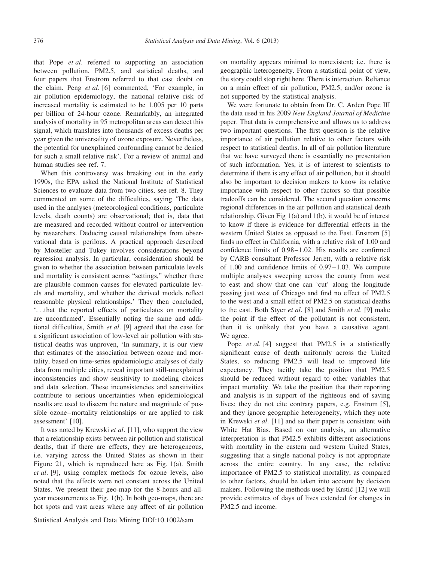that Pope *et al*. referred to supporting an association between pollution, PM2.5, and statistical deaths, and four papers that Enstrom referred to that cast doubt on the claim. Peng *et al*. [6] commented, 'For example, in air pollution epidemiology, the national relative risk of increased mortality is estimated to be 1.005 per 10 parts per billion of 24-hour ozone. Remarkably, an integrated analysis of mortality in 95 metropolitan areas can detect this signal, which translates into thousands of excess deaths per year given the universality of ozone exposure. Nevertheless, the potential for unexplained confounding cannot be denied for such a small relative risk'. For a review of animal and human studies see ref. 7.

When this controversy was breaking out in the early 1990s, the EPA asked the National Institute of Statistical Sciences to evaluate data from two cities, see ref. 8. They commented on some of the difficulties, saying 'The data used in the analyses (meteorological conditions, particulate levels, death counts) are observational; that is, data that are measured and recorded without control or intervention by researchers. Deducing causal relationships from observational data is perilous. A practical approach described by Mosteller and Tukey involves considerations beyond regression analysis. In particular, consideration should be given to whether the association between particulate levels and mortality is consistent across "settings," whether there are plausible common causes for elevated particulate levels and mortality, and whether the derived models reflect reasonable physical relationships.' They then concluded, '*...*that the reported effects of particulates on mortality are unconfirmed'. Essentially noting the same and additional difficulties, Smith *et al*. [9] agreed that the case for a significant association of low-level air pollution with statistical deaths was unproven, 'In summary, it is our view that estimates of the association between ozone and mortality, based on time-series epidemiologic analyses of daily data from multiple cities, reveal important still-unexplained inconsistencies and show sensitivity to modeling choices and data selection. These inconsistencies and sensitivities contribute to serious uncertainties when epidemiological results are used to discern the nature and magnitude of possible ozone–mortality relationships or are applied to risk assessment' [10].

It was noted by Krewski *et al*. [11], who support the view that a relationship exists between air pollution and statistical deaths, that if there are effects, they are heterogeneous, i.e. varying across the United States as shown in their Figure 21, which is reproduced here as Fig. 1(a). Smith *et al*. [9], using complex methods for ozone levels, also noted that the effects were not constant across the United States. We present their geo-map for the 8-hours and allyear measurements as Fig. 1(b). In both geo-maps, there are hot spots and vast areas where any affect of air pollution

Statistical Analysis and Data Mining DOI:10.1002/sam

on mortality appears minimal to nonexistent; i.e. there is geographic heterogeneity. From a statistical point of view, the story could stop right here. There is interaction. Reliance on a main effect of air pollution, PM2.5, and/or ozone is not supported by the statistical analysis.

We were fortunate to obtain from Dr. C. Arden Pope III the data used in his 2009 *New England Journal of Medicin*e paper. That data is comprehensive and allows us to address two important questions. The first question is the relative importance of air pollution relative to other factors with respect to statistical deaths. In all of air pollution literature that we have surveyed there is essentially no presentation of such information. Yes, it is of interest to scientists to determine if there is any effect of air pollution, but it should also be important to decision makers to know its relative importance with respect to other factors so that possible tradeoffs can be considered. The second question concerns regional differences in the air pollution and statistical death relationship. Given Fig 1(a) and 1(b), it would be of interest to know if there is evidence for differential effects in the western United States as opposed to the East. Enstrom [5] finds no effect in California, with a relative risk of 1.00 and confidence limits of 0.98–1.02. His results are confirmed by CARB consultant Professor Jerrett, with a relative risk of 1.00 and confidence limits of 0.97–1.03. We compute multiple analyses sweeping across the county from west to east and show that one can 'cut' along the longitude passing just west of Chicago and find no effect of PM2.5 to the west and a small effect of PM2.5 on statistical deaths to the east. Both Styer *et al*. [8] and Smith *et al*. [9] make the point if the effect of the pollutant is not consistent, then it is unlikely that you have a causative agent. We agree.

Pope *et al*. [4] suggest that PM2.5 is a statistically significant cause of death uniformly across the United States, so reducing PM2.5 will lead to improved life expectancy. They tacitly take the position that PM2.5 should be reduced without regard to other variables that impact mortality. We take the position that their reporting and analysis is in support of the righteous end of saving lives; they do not cite contrary papers, e.g. Enstrom [5], and they ignore geographic heterogeneity, which they note in Krewski *et al*. [11] and so their paper is consistent with White Hat Bias. Based on our analysis, an alternative interpretation is that PM2.5 exhibits different associations with mortality in the eastern and western United States, suggesting that a single national policy is not appropriate across the entire country. In any case, the relative importance of PM2.5 to statistical mortality, as compared to other factors, should be taken into account by decision makers. Following the methods used by Krstić [12] we will provide estimates of days of lives extended for changes in PM2.5 and income.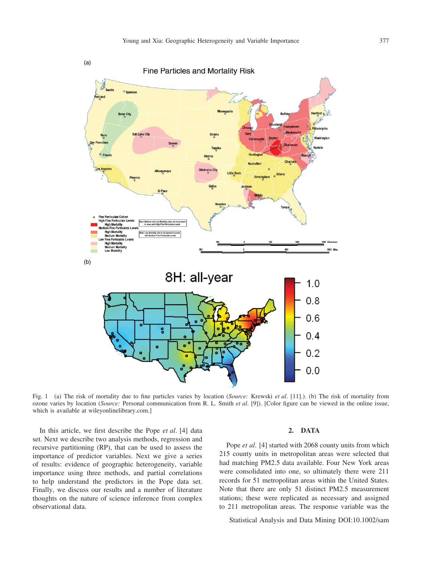

Fig. 1 (a) The risk of mortality due to fine particles varies by location (*Source:* Krewski *et al*. [11].). (b) The risk of mortality from ozone varies by location (*Source:* Personal communication from R. L. Smith *et al*. [9]). [Color figure can be viewed in the online issue, which is available at wileyonlinelibrary.com.]

In this article, we first describe the Pope *et al*. [4] data set. Next we describe two analysis methods, regression and recursive partitioning (RP), that can be used to assess the importance of predictor variables. Next we give a series of results: evidence of geographic heterogeneity, variable importance using three methods, and partial correlations to help understand the predictors in the Pope data set. Finally, we discuss our results and a number of literature thoughts on the nature of science inference from complex observational data.

## **2. DATA**

Pope *et al.* [4] started with 2068 county units from which 215 county units in metropolitan areas were selected that had matching PM2.5 data available. Four New York areas were consolidated into one, so ultimately there were 211 records for 51 metropolitan areas within the United States. Note that there are only 51 distinct PM2.5 measurement stations; these were replicated as necessary and assigned to 211 metropolitan areas. The response variable was the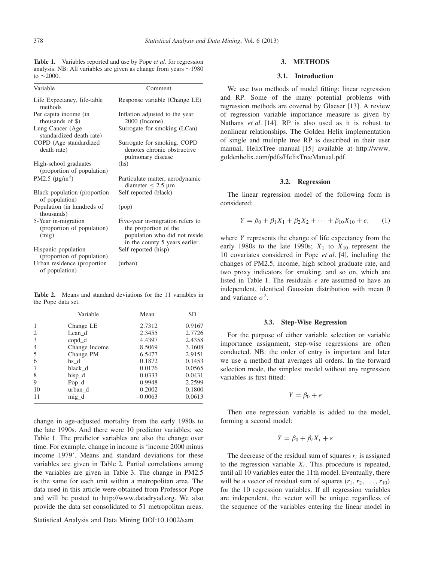**Table 1.** Variables reported and use by Pope *et al*. for regression analysis. NB: All variables are given as change from years ∼1980 to ∼2000.

| Variable                                                   | Comment                                                                                                                      |  |  |  |  |
|------------------------------------------------------------|------------------------------------------------------------------------------------------------------------------------------|--|--|--|--|
| Life Expectancy, life-table<br>methods                     | Response variable (Change LE)                                                                                                |  |  |  |  |
| Per capita income (in<br>thousands of \$)                  | Inflation adjusted to the year<br>2000 (Income)                                                                              |  |  |  |  |
| Lung Cancer (Age<br>standardized death rate)               | Surrogate for smoking (LCan)                                                                                                 |  |  |  |  |
| COPD (Age standardized<br>death rate)                      | Surrogate for smoking. COPD<br>denotes chronic obstructive<br>pulmonary disease                                              |  |  |  |  |
| High-school graduates<br>(proportion of population)        | (hs)                                                                                                                         |  |  |  |  |
| PM2.5 $(\mu$ g/m <sup>3</sup> )                            | Particulate matter, aerodynamic<br>diameter $\leq$ 2.5 µm                                                                    |  |  |  |  |
| Black population (proportion<br>of population)             | Self reported (black)                                                                                                        |  |  |  |  |
| Population (in hundreds of<br>thousands)                   | (pop)                                                                                                                        |  |  |  |  |
| 5-Year in-migration<br>(proportion of population)<br>(mig) | Five-year in-migration refers to<br>the proportion of the<br>population who did not reside<br>in the county 5 years earlier. |  |  |  |  |
| Hispanic population<br>(proportion of population)          | Self reported (hisp)                                                                                                         |  |  |  |  |
| Urban residence (proportion<br>of population)              | (urban)                                                                                                                      |  |  |  |  |

**Table 2.** Means and standard deviations for the 11 variables in the Pope data set.

|    | Variable      | Mean      | SD     |
|----|---------------|-----------|--------|
|    | Change LE     | 2.7312    | 0.9167 |
| 2  | Lean d        | 2.3455    | 2.7726 |
| 3  | copd_d        | 4.4397    | 2.4358 |
| 4  | Change Income | 8.5069    | 3.1608 |
| 5  | Change PM     | 6.5477    | 2.9151 |
| 6  | hs d          | 0.1872    | 0.1453 |
|    | black d       | 0.0176    | 0.0565 |
| 8  | hisp_d        | 0.0333    | 0.0431 |
| 9  | $Pop_d$       | 0.9948    | 2.2599 |
| 10 | urban d       | 0.2002    | 0.1800 |
| 11 | mig d         | $-0.0063$ | 0.0613 |

change in age-adjusted mortality from the early 1980s to the late 1990s. And there were 10 predictor variables; see Table 1. The predictor variables are also the change over time. For example, change in income is 'income 2000 minus income 1979'. Means and standard deviations for these variables are given in Table 2. Partial correlations among the variables are given in Table 3. The change in PM2.5 is the same for each unit within a metropolitan area. The data used in this article were obtained from Professor Pope and will be posted to [http://www.datadryad.](http://www.datadryad)org. We also provide the data set consolidated to 51 metropolitan areas.

Statistical Analysis and Data Mining DOI:10.1002/sam

## **3. METHODS**

#### **3.1. Introduction**

We use two methods of model fitting: linear regression and RP. Some of the many potential problems with regression methods are covered by Glaeser [13]. A review of regression variable importance measure is given by Nathans *et al*. [14]. RP is also used as it is robust to nonlinear relationships. The Golden Helix implementation of single and multiple tree RP is described in their user manual, HelixTree manual [15] available at [http://www.](http://www.goldenhelix.com/pdfs/) [goldenhelix.com/pdfs/H](http://www.goldenhelix.com/pdfs/)elixTreeManual.pdf.

#### **3.2. Regression**

The linear regression model of the following form is considered:

$$
Y = \beta_0 + \beta_1 X_1 + \beta_2 X_2 + \dots + \beta_{10} X_{10} + e, \qquad (1)
$$

where *Y* represents the change of life expectancy from the early 1980s to the late 1990s;  $X_1$  to  $X_{10}$  represent the 10 covariates considered in Pope *et al*. [4], including the changes of PM2.5, income, high school graduate rate, and two proxy indicators for smoking, and so on, which are listed in Table 1. The residuals *e* are assumed to have an independent, identical Gaussian distribution with mean 0 and variance  $\sigma^2$ .

#### **3.3. Step-Wise Regression**

For the purpose of either variable selection or variable importance assignment, step-wise regressions are often conducted. NB: the order of entry is important and later we use a method that averages all orders. In the forward selection mode, the simplest model without any regression variables is first fitted:

$$
Y = \beta_0 + e
$$

Then one regression variable is added to the model, forming a second model:

$$
Y = \beta_0 + \beta_i X_i + \varepsilon
$$

The decrease of the residual sum of squares  $r_i$  is assigned to the regression variable  $X_i$ . This procedure is repeated, until all 10 variables enter the 11th model. Eventually, there will be a vector of residual sum of squares  $(r_1, r_2, \ldots, r_{10})$ for the 10 regression variables. If all regression variables are independent, the vector will be unique regardless of the sequence of the variables entering the linear model in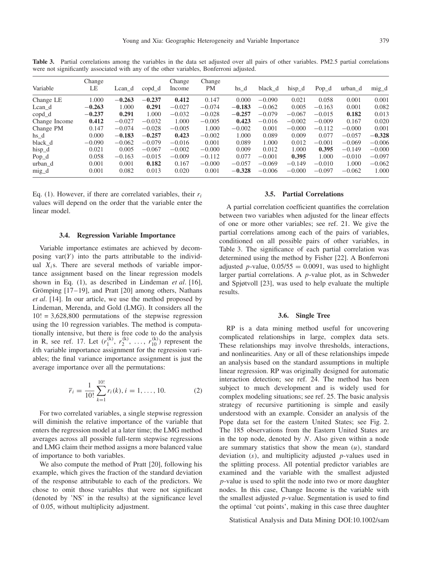| Variable      | Change<br>LE | Lean d   | copd d   | Change<br>Income | Change<br>PM | hs_d     | black d  | $hisp_d$ | $Pop_d$  | urban d  | $mig_d$  |
|---------------|--------------|----------|----------|------------------|--------------|----------|----------|----------|----------|----------|----------|
| Change LE     | 1.000        | $-0.263$ | $-0.237$ | 0.412            | 0.147        | 0.000    | $-0.090$ | 0.021    | 0.058    | 0.001    | 0.001    |
| Lean d        | $-0.263$     | 1.000    | 0.291    | $-0.027$         | $-0.074$     | $-0.183$ | $-0.062$ | 0.005    | $-0.163$ | 0.001    | 0.082    |
| copd d        | $-0.237$     | 0.291    | 1.000    | $-0.032$         | $-0.028$     | $-0.257$ | $-0.079$ | $-0.067$ | $-0.015$ | 0.182    | 0.013    |
| Change Income | 0.412        | $-0.027$ | $-0.032$ | 1.000            | $-0.005$     | 0.423    | $-0.016$ | $-0.002$ | $-0.009$ | 0.167    | 0.020    |
| Change PM     | 0.147        | $-0.074$ | $-0.028$ | $-0.005$         | 1.000        | $-0.002$ | 0.001    | $-0.000$ | $-0.112$ | $-0.000$ | 0.001    |
| hs d          | 0.000        | $-0.183$ | $-0.257$ | 0.423            | $-0.002$     | 1.000    | 0.089    | 0.009    | 0.077    | $-0.057$ | $-0.328$ |
| black d       | $-0.090$     | $-0.062$ | $-0.079$ | $-0.016$         | 0.001        | 0.089    | 1.000    | 0.012    | $-0.001$ | $-0.069$ | $-0.006$ |
| hisp_d        | 0.021        | 0.005    | $-0.067$ | $-0.002$         | $-0.000$     | 0.009    | 0.012    | 1.000    | 0.395    | $-0.149$ | $-0.000$ |
| $Pop_d$       | 0.058        | $-0.163$ | $-0.015$ | $-0.009$         | $-0.112$     | 0.077    | $-0.001$ | 0.395    | 1.000    | $-0.010$ | $-0.097$ |
| urban d       | 0.001        | 0.001    | 0.182    | 0.167            | $-0.000$     | $-0.057$ | $-0.069$ | $-0.149$ | $-0.010$ | 1.000    | $-0.062$ |
| mig_d         | 0.001        | 0.082    | 0.013    | 0.020            | 0.001        | $-0.328$ | $-0.006$ | $-0.000$ | $-0.097$ | $-0.062$ | 1.000    |

**Table 3.** Partial correlations among the variables in the data set adjusted over all pairs of other variables. PM2.5 partial correlations were not significantly associated with any of the other variables, Bonferroni adjusted.

Eq. (1). However, if there are correlated variables, their *ri* values will depend on the order that the variable enter the linear model.

#### **3.4. Regression Variable Importance**

Variable importance estimates are achieved by decomposing  $var(Y)$  into the parts attributable to the individual *Xi*s. There are several methods of variable importance assignment based on the linear regression models shown in Eq. (1), as described in Lindeman *et al*. [16], Grömping  $[17–19]$ , and Pratt  $[20]$  among others, Nathans *et al*. [14]. In our article, we use the method proposed by Lindeman, Merenda, and Gold (LMG). It considers all the  $10! = 3{,}628{,}800$  permutations of the stepwise regression using the 10 regression variables. The method is computationally intensive, but there is free code to do the analysis in R, see ref. 17. Let  $(r_1^{(k)}, r_2^{(k)}, \ldots, r_{10}^{(k)})$  represent the *k*th variable importance assignment for the regression variables; the final variance importance assignment is just the average importance over all the permutations:

$$
\overline{r}_i = \frac{1}{10!} \sum_{k=1}^{10!} r_i(k), i = 1, \dots, 10.
$$
 (2)

For two correlated variables, a single stepwise regression will diminish the relative importance of the variable that enters the regression model at a later time; the LMG method averages across all possible full-term stepwise regressions and LMG claim their method assigns a more balanced value of importance to both variables.

We also compute the method of Pratt [20], following his example, which gives the fraction of the standard deviation of the response attributable to each of the predictors. We chose to omit those variables that were not significant (denoted by 'NS' in the results) at the significance level of 0.05, without multiplicity adjustment.

## **3.5. Partial Correlations**

A partial correlation coefficient quantifies the correlation between two variables when adjusted for the linear effects of one or more other variables; see ref. 21. We give the partial correlations among each of the pairs of variables, conditioned on all possible pairs of other variables, in Table 3. The significance of each partial correlation was determined using the method by Fisher [22]. A Bonferroni adjusted *p*-value,  $0.05/55 = 0.0091$ , was used to highlight larger partial correlations. A *p*-value plot, as in Schweder and Spjøtvoll [23], was used to help evaluate the multiple results.

#### **3.6. Single Tree**

RP is a data mining method useful for uncovering complicated relationships in large, complex data sets. These relationships may involve thresholds, interactions, and nonlinearities. Any or all of these relationships impede an analysis based on the standard assumptions in multiple linear regression. RP was originally designed for automatic interaction detection; see ref. 24. The method has been subject to much development and is widely used for complex modeling situations; see ref. 25. The basic analysis strategy of recursive partitioning is simple and easily understood with an example. Consider an analysis of the Pope data set for the eastern United States; see Fig. 2. The 185 observations from the Eastern United States are in the top node, denoted by *N*. Also given within a node are summary statistics that show the mean (*u)*, standard deviation (*s)*, and multiplicity adjusted *p*-values used in the splitting process. All potential predictor variables are examined and the variable with the smallest adjusted *p*-value is used to split the node into two or more daughter nodes. In this case, Change Income is the variable with the smallest adjusted *p*-value. Segmentation is used to find the optimal 'cut points', making in this case three daughter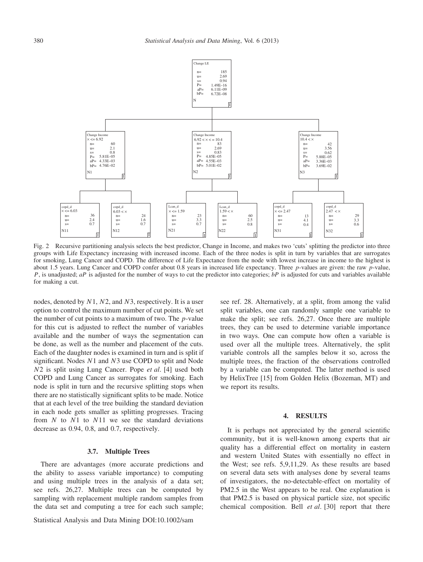

Fig. 2 Recursive partitioning analysis selects the best predictor, Change in Income, and makes two 'cuts' splitting the predictor into three groups with Life Expectancy increasing with increased income. Each of the three nodes is split in turn by variables that are surrogates for smoking, Lung Cancer and COPD. The difference of Life Expectance from the node with lowest increase in income to the highest is about 1.5 years. Lung Cancer and COPD confer about 0.8 years in increased life expectancy. Three *p*-values are given: the raw *p*-value, *P*, is unadjusted; *aP* is adjusted for the number of ways to cut the predictor into categories; *bP* is adjusted for cuts and variables available for making a cut.

nodes, denoted by *N*1, *N*2, and *N*3, respectively. It is a user option to control the maximum number of cut points. We set the number of cut points to a maximum of two. The *p*-value for this cut is adjusted to reflect the number of variables available and the number of ways the segmentation can be done, as well as the number and placement of the cuts. Each of the daughter nodes is examined in turn and is split if significant. Nodes *N*1 and *N*3 use COPD to split and Node *N*2 is split using Lung Cancer. Pope *et al*. [4] used both COPD and Lung Cancer as surrogates for smoking. Each node is split in turn and the recursive splitting stops when there are no statistically significant splits to be made. Notice that at each level of the tree building the standard deviation in each node gets smaller as splitting progresses. Tracing from *N* to *N*1 to *N*11 we see the standard deviations decrease as 0.94, 0.8, and 0.7, respectively.

#### **3.7. Multiple Trees**

There are advantages (more accurate predictions and the ability to assess variable importance) to computing and using multiple trees in the analysis of a data set; see refs. 26,27. Multiple trees can be computed by sampling with replacement multiple random samples from the data set and computing a tree for each such sample;

Statistical Analysis and Data Mining DOI:10.1002/sam

see ref. 28. Alternatively, at a split, from among the valid split variables, one can randomly sample one variable to make the split; see refs. 26,27. Once there are multiple trees, they can be used to determine variable importance in two ways. One can compute how often a variable is used over all the multiple trees. Alternatively, the split variable controls all the samples below it so, across the multiple trees, the fraction of the observations controlled by a variable can be computed. The latter method is used by HelixTree [15] from Golden Helix (Bozeman, MT) and we report its results.

#### **4. RESULTS**

It is perhaps not appreciated by the general scientific community, but it is well-known among experts that air quality has a differential effect on mortality in eastern and western United States with essentially no effect in the West; see refs. 5,9,11,29. As these results are based on several data sets with analyses done by several teams of investigators, the no-detectable-effect on mortality of PM2.5 in the West appears to be real. One explanation is that PM2.5 is based on physical particle size, not specific chemical composition. Bell *et al*. [30] report that there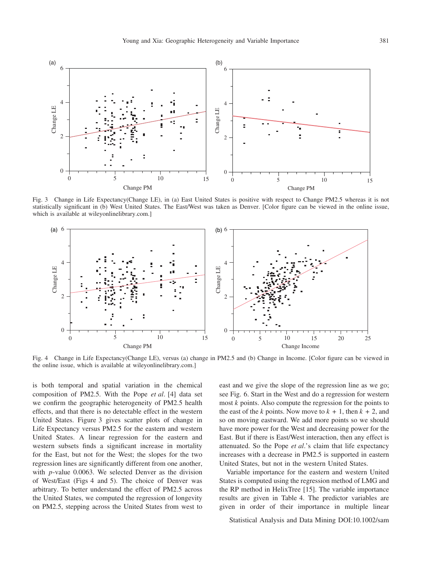

Fig. 3 Change in Life Expectancy(Change LE), in (a) East United States is positive with respect to Change PM2.5 whereas it is not statistically significant in (b) West United States. The East/West was taken as Denver. [Color figure can be viewed in the online issue, which is available at wileyonlinelibrary.com.]



Fig. 4 Change in Life Expectancy(Change LE), versus (a) change in PM2.5 and (b) Change in Income. [Color figure can be viewed in the online issue, which is available at wileyonlinelibrary.com.]

is both temporal and spatial variation in the chemical composition of PM2.5. With the Pope *et al*. [4] data set we confirm the geographic heterogeneity of PM2.5 health effects, and that there is no detectable effect in the western United States. Figure 3 gives scatter plots of change in Life Expectancy versus PM2.5 for the eastern and western United States. A linear regression for the eastern and western subsets finds a significant increase in mortality for the East, but not for the West; the slopes for the two regression lines are significantly different from one another, with *p*-value 0.0063. We selected Denver as the division of West/East (Figs 4 and 5). The choice of Denver was arbitrary. To better understand the effect of PM2.5 across the United States, we computed the regression of longevity on PM2.5, stepping across the United States from west to east and we give the slope of the regression line as we go; see Fig. 6. Start in the West and do a regression for western most *k* points. Also compute the regression for the points to the east of the *k* points. Now move to  $k + 1$ , then  $k + 2$ , and so on moving eastward. We add more points so we should have more power for the West and decreasing power for the East. But if there is East/West interaction, then any effect is attenuated. So the Pope *et al*.'s claim that life expectancy increases with a decrease in PM2.5 is supported in eastern United States, but not in the western United States.

Variable importance for the eastern and western United States is computed using the regression method of LMG and the RP method in HelixTree [15]. The variable importance results are given in Table 4. The predictor variables are given in order of their importance in multiple linear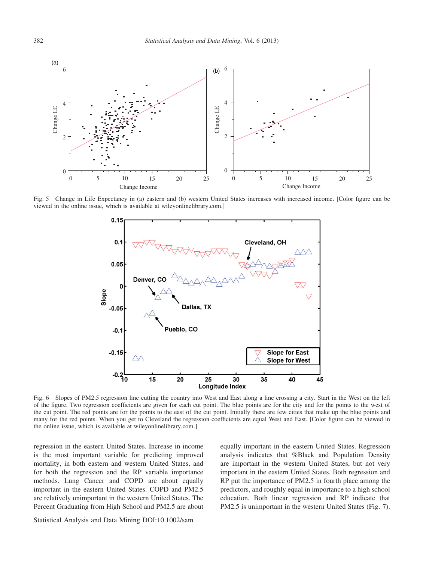

Fig. 5 Change in Life Expectancy in (a) eastern and (b) western United States increases with increased income. [Color figure can be viewed in the online issue, which is available at wileyonlinelibrary.com.]



Fig. 6 Slopes of PM2.5 regression line cutting the country into West and East along a line crossing a city. Start in the West on the left of the figure. Two regression coefficients are given for each cut point. The blue points are for the city and for the points to the west of the cut point. The red points are for the points to the east of the cut point. Initially there are few cities that make up the blue points and many for the red points. When you get to Cleveland the regression coefficients are equal West and East. [Color figure can be viewed in the online issue, which is available at wileyonlinelibrary.com.]

regression in the eastern United States. Increase in income is the most important variable for predicting improved mortality, in both eastern and western United States, and for both the regression and the RP variable importance methods. Lung Cancer and COPD are about equally important in the eastern United States. COPD and PM2.5 are relatively unimportant in the western United States. The Percent Graduating from High School and PM2.5 are about equally important in the eastern United States. Regression analysis indicates that %Black and Population Density are important in the western United States, but not very important in the eastern United States. Both regression and RP put the importance of PM2.5 in fourth place among the predictors, and roughly equal in importance to a high school education. Both linear regression and RP indicate that PM2.5 is unimportant in the western United States (Fig. 7).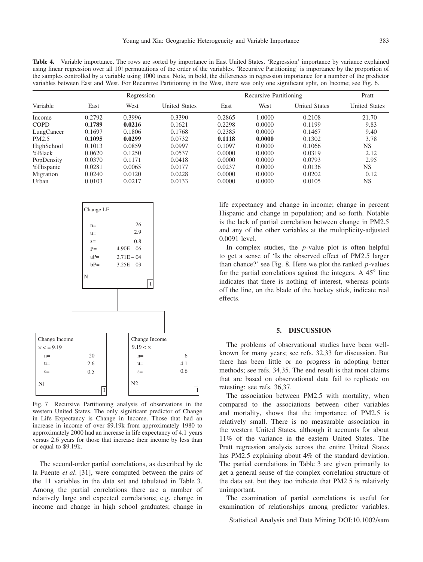**Table 4.** Variable importance. The rows are sorted by importance in East United States. 'Regression' importance by variance explained using linear regression over all 10! permutations of the order of the variables. 'Recursive Partitioning' is importance by the proportion of the samples controlled by a variable using 1000 trees. Note, in bold, the differences in regression importance for a number of the predictor variables between East and West. For Recursive Partitioning in the West, there was only one significant split, on Income; see Fig. 6.

| Variable    | Regression |        |                      | Recursive Partitioning | Pratt  |                      |                      |
|-------------|------------|--------|----------------------|------------------------|--------|----------------------|----------------------|
|             | East       | West   | <b>United States</b> | East                   | West   | <b>United States</b> | <b>United States</b> |
| Income      | 0.2792     | 0.3996 | 0.3390               | 0.2865                 | 1.0000 | 0.2108               | 21.70                |
| <b>COPD</b> | 0.1789     | 0.0216 | 0.1621               | 0.2298                 | 0.0000 | 0.1199               | 9.83                 |
| LungCancer  | 0.1697     | 0.1806 | 0.1768               | 0.2385                 | 0.0000 | 0.1467               | 9.40                 |
| PM2.5       | 0.1095     | 0.0299 | 0.0732               | 0.1118                 | 0.0000 | 0.1302               | 3.78                 |
| HighSchool  | 0.1013     | 0.0859 | 0.0997               | 0.1097                 | 0.0000 | 0.1066               | NS.                  |
| %Black      | 0.0620     | 0.1250 | 0.0537               | 0.0000                 | 0.0000 | 0.0319               | 2.12                 |
| PopDensity  | 0.0370     | 0.1171 | 0.0418               | 0.0000                 | 0.0000 | 0.0793               | 2.95                 |
| %Hispanic   | 0.0281     | 0.0065 | 0.0177               | 0.0237                 | 0.0000 | 0.0136               | NS.                  |
| Migration   | 0.0240     | 0.0120 | 0.0228               | 0.0000                 | 0.0000 | 0.0202               | 0.12                 |
| Urban       | 0.0103     | 0.0217 | 0.0133               | 0.0000                 | 0.0000 | 0.0105               | <b>NS</b>            |



Fig. 7 Recursive Partitioning analysis of observations in the western United States. The only significant predictor of Change in Life Expectancy is Change in Income. Those that had an increase in income of over \$9.19k from approximately 1980 to approximately 2000 had an increase in life expectancy of 4.1 years versus 2.6 years for those that increase their income by less than or equal to \$9.19k.

The second-order partial correlations, as described by de la Fuente *et al*. [31], were computed between the pairs of the 11 variables in the data set and tabulated in Table 3. Among the partial correlations there are a number of relatively large and expected correlations; e.g. change in income and change in high school graduates; change in

life expectancy and change in income; change in percent Hispanic and change in population; and so forth. Notable is the lack of partial correlation between change in PM2.5 and any of the other variables at the multiplicity-adjusted 0.0091 level.

In complex studies, the *p*-value plot is often helpful to get a sense of 'Is the observed effect of PM2.5 larger than chance?' see Fig. 8. Here we plot the ranked *p*-values for the partial correlations against the integers. A  $45^\circ$  line indicates that there is nothing of interest, whereas points off the line, on the blade of the hockey stick, indicate real effects.

## **5. DISCUSSION**

The problems of observational studies have been wellknown for many years; see refs. 32,33 for discussion. But there has been little or no progress in adopting better methods; see refs. 34,35. The end result is that most claims that are based on observational data fail to replicate on retesting; see refs. 36,37.

The association between PM2.5 with mortality, when compared to the associations between other variables and mortality, shows that the importance of PM2.5 is relatively small. There is no measurable association in the western United States, although it accounts for about 11% of the variance in the eastern United States. The Pratt regression analysis across the entire United States has PM2.5 explaining about 4% of the standard deviation. The partial correlations in Table 3 are given primarily to get a general sense of the complex correlation structure of the data set, but they too indicate that PM2.5 is relatively unimportant.

The examination of partial correlations is useful for examination of relationships among predictor variables.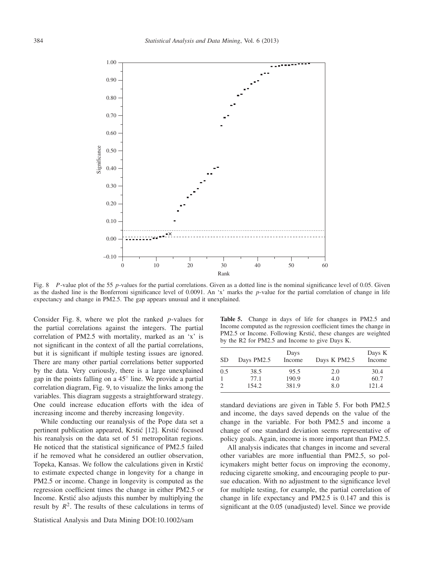

Fig. 8 *P*-value plot of the 55 *p*-values for the partial correlations. Given as a dotted line is the nominal significance level of 0.05. Given as the dashed line is the Bonferroni significance level of 0.0091. An 'x' marks the *p*-value for the partial correlation of change in life expectancy and change in PM2.5. The gap appears unusual and it unexplained.

Consider Fig. 8, where we plot the ranked *p*-values for the partial correlations against the integers. The partial correlation of PM2.5 with mortality, marked as an 'x' is not significant in the context of all the partial correlations, but it is significant if multiple testing issues are ignored. There are many other partial correlations better supported by the data. Very curiously, there is a large unexplained gap in the points falling on a  $45^\circ$  line. We provide a partial correlation diagram, Fig. 9, to visualize the links among the variables. This diagram suggests a straightforward strategy. One could increase education efforts with the idea of increasing income and thereby increasing longevity.

While conducting our reanalysis of the Pope data set a pertinent publication appeared, Krstić [12]. Krstić focused his reanalysis on the data set of 51 metropolitan regions. He noticed that the statistical significance of PM2.5 failed if he removed what he considered an outlier observation, Topeka, Kansas. We follow the calculations given in Krstic´ to estimate expected change in longevity for a change in PM2.5 or income. Change in longevity is computed as the regression coefficient times the change in either PM2.5 or Income. Krstić also adjusts this number by multiplying the result by  $R^2$ . The results of these calculations in terms of

Statistical Analysis and Data Mining DOI:10.1002/sam

**Table 5.** Change in days of life for changes in PM2.5 and Income computed as the regression coefficient times the change in PM2.5 or Income. Following Krstić, these changes are weighted by the R2 for PM2.5 and Income to give Days K.

| SD             | Days PM2.5 | Days<br>Income | Days K PM2.5 | Days K<br>Income |
|----------------|------------|----------------|--------------|------------------|
| 0.5            | 38.5       | 95.5           | 2.0          | 30.4             |
| 1              | 77.1       | 190.9          | 4.0          | 60.7             |
| $\overline{c}$ | 154.2      | 381.9          | 8.0          | 121.4            |

standard deviations are given in Table 5. For both PM2.5 and income, the days saved depends on the value of the change in the variable. For both PM2.5 and income a change of one standard deviation seems representative of policy goals. Again, income is more important than PM2.5.

All analysis indicates that changes in income and several other variables are more influential than PM2.5, so policymakers might better focus on improving the economy, reducing cigarette smoking, and encouraging people to pursue education. With no adjustment to the significance level for multiple testing, for example, the partial correlation of change in life expectancy and PM2.5 is 0.147 and this is significant at the 0.05 (unadjusted) level. Since we provide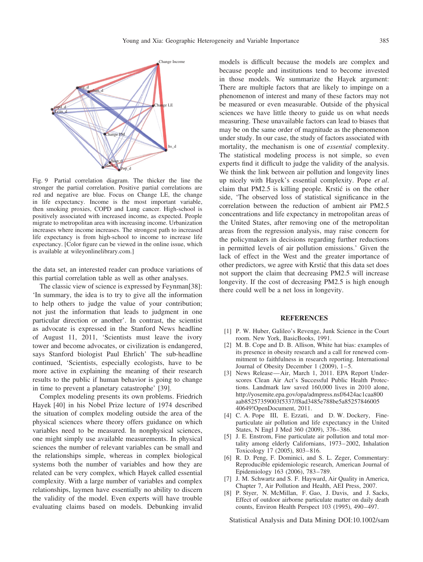

Fig. 9 Partial correlation diagram. The thicker the line the stronger the partial correlation. Positive partial correlations are red and negative are blue. Focus on Change LE, the change in life expectancy. Income is the most important variable, then smoking proxies, COPD and Lung cancer. High-school is positively associated with increased income, as expected. People migrate to metropolitan area with increasing income. Urbanization increases where income increases. The strongest path to increased life expectancy is from high-school to income to increase life expectancy. [Color figure can be viewed in the online issue, which is available at wileyonlinelibrary.com.]

the data set, an interested reader can produce variations of this partial correlation table as well as other analyses.

The classic view of science is expressed by Feynman[38]: 'In summary, the idea is to try to give all the information to help others to judge the value of your contribution; not just the information that leads to judgment in one particular direction or another'. In contrast, the scientist as advocate is expressed in the Stanford News headline of August 11, 2011, 'Scientists must leave the ivory tower and become advocates, or civilization is endangered, says Stanford biologist Paul Ehrlich' The sub-headline continued, 'Scientists, especially ecologists, have to be more active in explaining the meaning of their research results to the public if human behavior is going to change in time to prevent a planetary catastrophe' [39].

Complex modeling presents its own problems. Friedrich Hayek [40] in his Nobel Prize lecture of 1974 described the situation of complex modeling outside the area of the physical sciences where theory offers guidance on which variables need to be measured. In nonphysical sciences, one might simply use available measurements. In physical sciences the number of relevant variables can be small and the relationships simple, whereas in complex biological systems both the number of variables and how they are related can be very complex, which Hayek called essential complexity. With a large number of variables and complex relationships, laymen have essentially no ability to discern the validity of the model. Even experts will have trouble evaluating claims based on models. Debunking invalid

models is difficult because the models are complex and because people and institutions tend to become invested in those models. We summarize the Hayek argument: There are multiple factors that are likely to impinge on a phenomenon of interest and many of these factors may not be measured or even measurable. Outside of the physical sciences we have little theory to guide us on what needs measuring. These unavailable factors can lead to biases that may be on the same order of magnitude as the phenomenon under study. In our case, the study of factors associated with mortality, the mechanism is one of *essential* complexity. The statistical modeling process is not simple, so even experts find it difficult to judge the validity of the analysis. We think the link between air pollution and longevity lines up nicely with Hayek's essential complexity. Pope *et al*. claim that PM2.5 is killing people. Krstic is on the other ´ side, 'The observed loss of statistical significance in the correlation between the reduction of ambient air PM2.5 concentrations and life expectancy in metropolitan areas of the United States, after removing one of the metropolitan areas from the regression analysis, may raise concern for the policymakers in decisions regarding further reductions in permitted levels of air pollution emissions.' Given the lack of effect in the West and the greater importance of other predictors, we agree with Krstic that this data set does ´ not support the claim that decreasing PM2.5 will increase longevity. If the cost of decreasing PM2.5 is high enough there could well be a net loss in longevity.

## **REFERENCES**

- [1] P. W. Huber, Galileo's Revenge, Junk Science in the Court room. New York, BasicBooks, 1991.
- [2] M. B. Cope and D. B. Allison, White hat bias: examples of its presence in obesity research and a call for renewed commitment to faithfulness in research reporting. International Journal of Obesity December 1 (2009), 1–5.
- [3] News Release—Air, March 1, 2011. EPA Report Underscores Clean Air Act's Successful Public Health Protections. Landmark law saved 160,000 lives in 2010 alone, http://yosemite.epa.gov/opa/admpress.nsf/6424ac1caa800 aab85257359003f5337/f8ad3485e788be5a85257846005 40649!OpenDocument, 2011.
- [4] C. A. Pope III, E. Ezzati, and D. W. Dockery, Fineparticulate air pollution and life expectancy in the United States, N Engl J Med 360 (2009), 376–386.
- [5] J. E. Enstrom, Fine particulate air pollution and total mortality among elderly Californians, 1973–2002, Inhalation Toxicology 17 (2005), 803–816.
- [6] R. D. Peng, F. Dominici, and S. L. Zeger, Commentary: Reproducible epidemiologic research, American Journal of Epidemiology 163 (2006), 783–789.
- [7] J. M. Schwartz and S. F. Hayward, Air Quality in America, Chapter 7, Air Pollution and Health, AEI Press, 2007.
- [8] P. Styer, N. McMillan, F. Gao, J. Davis, and J. Sacks, Effect of outdoor airborne particulate matter on daily death counts, Environ Health Perspect 103 (1995), 490–497.